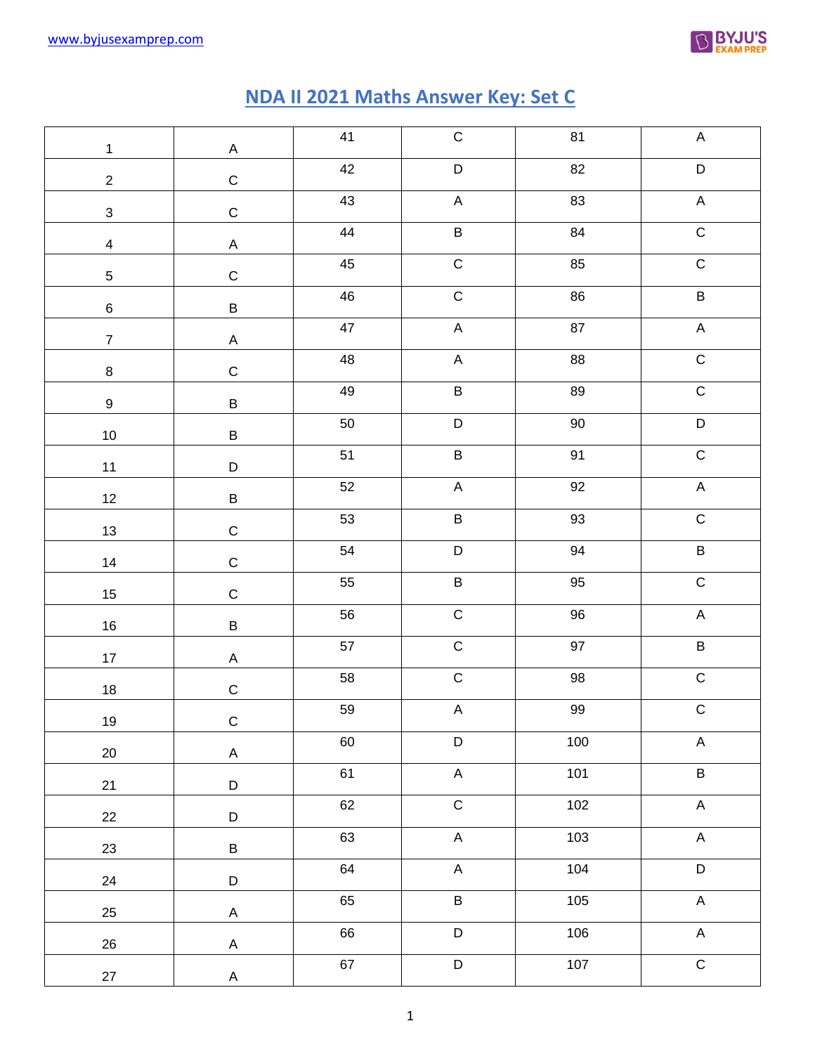

## **NDA II 2021 Maths Answer Key: Set C**

|                  |              | 41         | $\mathsf C$    | 81     | $\mathsf A$               |
|------------------|--------------|------------|----------------|--------|---------------------------|
| $\mathbf{1}$     | $\mathsf A$  | 42         | $\mathsf D$    | 82     | $\mathsf D$               |
| $\overline{2}$   | $\mathsf C$  | 43         | $\sf A$        | 83     | $\mathsf A$               |
| $\mathbf{3}$     | $\mathsf C$  |            |                |        |                           |
| $\overline{4}$   | $\mathsf A$  | 44         | $\sf B$        | 84     | $\mathsf C$               |
| $\overline{5}$   | $\mathsf C$  | $\bf 45$   | $\mathsf C$    | 85     | $\mathsf C$               |
| $\,6\,$          | $\sf B$      | ${\bf 46}$ | $\mathsf C$    | 86     | $\sf B$                   |
| $\overline{7}$   | $\mathsf A$  | 47         | $\mathsf A$    | 87     | $\mathsf A$               |
| $\bf8$           | $\mathsf C$  | 48         | $\mathsf A$    | 88     | $\mathsf C$               |
| $\boldsymbol{9}$ | $\sf B$      | 49         | $\sf B$        | 89     | $\mathsf C$               |
| $10\,$           | $\sf B$      | $50\,$     | $\mathsf D$    | $90\,$ | $\mathsf D$               |
| 11               | $\mathsf D$  | 51         | $\sf B$        | 91     | $\mathsf C$               |
| 12               | $\sf B$      | 52         | $\mathsf A$    | 92     | $\mathsf A$               |
| 13               | $\mathsf C$  | 53         | $\sf B$        | $93\,$ | $\mathsf C$               |
| 14               | $\mathsf C$  | 54         | $\mathsf D$    | 94     | $\sf B$                   |
| 15               | $\mathsf C$  | 55         | $\sf B$        | $95\,$ | $\mathsf C$               |
| 16               | $\sf B$      | 56         | $\mathsf C$    | $96\,$ | $\mathsf A$               |
| 17               | $\mathsf A$  | 57         | ${\bf C}$      | 97     | $\sf B$                   |
| 18               | $\mathsf C$  | 58         | ${\bf C}$      | $98\,$ | $\mathsf C$               |
| 19               | ${\bf C}$    | 59         | $\sf A$        | 99     | ${\bf C}$                 |
| 20               | $\mathsf{A}$ | 60         | $\mathsf D$    | 100    | $\boldsymbol{\mathsf{A}}$ |
| 21               | $\mathsf D$  | 61         | $\mathsf A$    | 101    | $\overline{B}$            |
| 22               | $\mathsf D$  | 62         | $\overline{C}$ | 102    | $\sf A$                   |
| 23               | $\sf B$      | 63         | $\mathsf A$    | 103    | $\sf A$                   |
| 24               | $\mathsf D$  | 64         | $\mathsf A$    | 104    | $\overline{D}$            |
| 25               | $\mathsf A$  | 65         | $\sf B$        | 105    | $\mathsf A$               |
| 26               | $\mathsf{A}$ | 66         | $\mathsf D$    | 106    | $\mathsf A$               |
| $27\,$           | $\mathsf A$  | 67         | $\mathsf D$    | 107    | $\mathsf C$               |